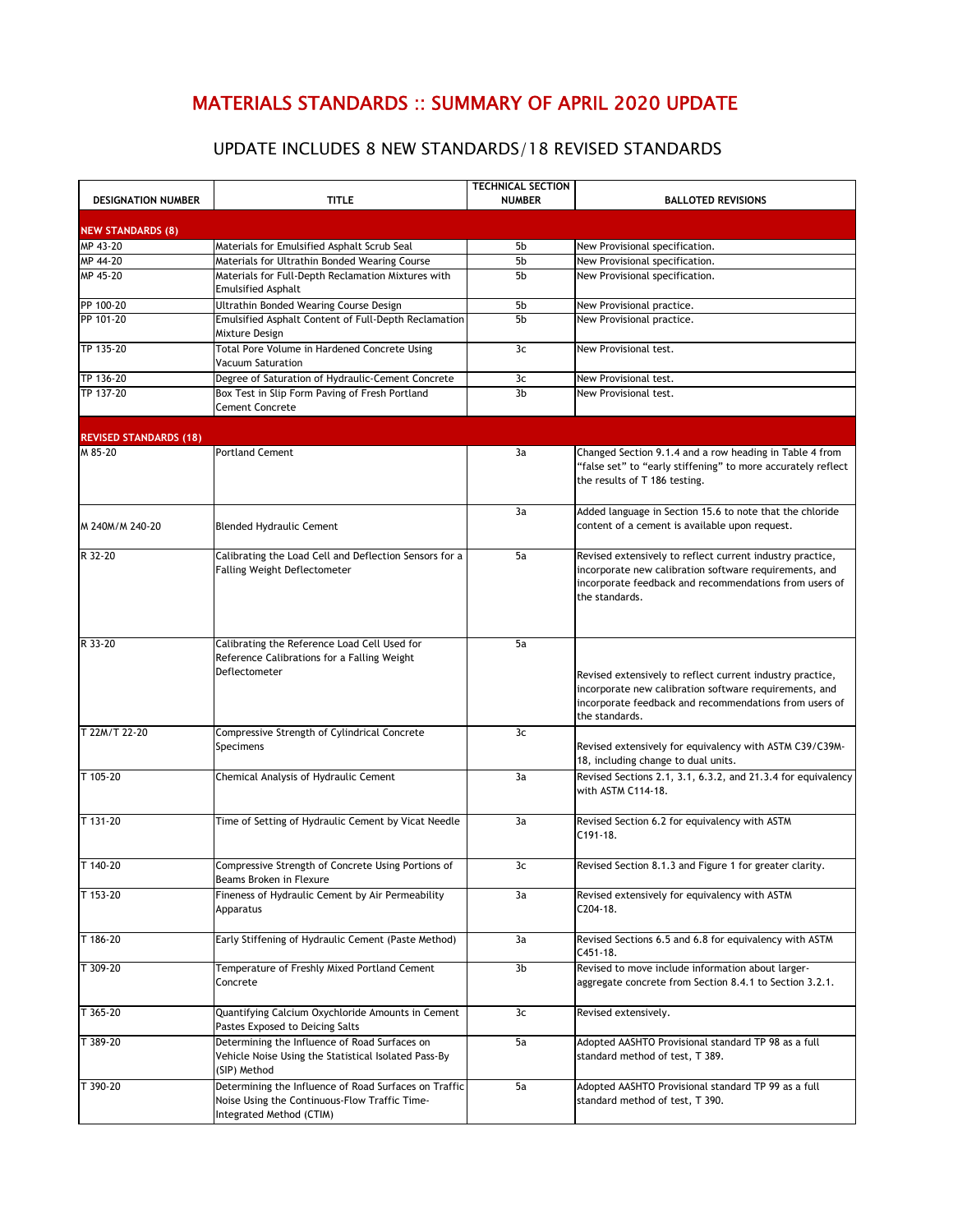## MATERIALS STANDARDS :: SUMMARY OF APRIL 2020 UPDATE

## UPDATE INCLUDES 8 NEW STANDARDS/18 REVISED STANDARDS

| <b>DESIGNATION NUMBER</b>     | <b>TITLE</b>                                                                                                                       | <b>TECHNICAL SECTION</b><br><b>NUMBER</b> | <b>BALLOTED REVISIONS</b>                                                                                                                                                                       |
|-------------------------------|------------------------------------------------------------------------------------------------------------------------------------|-------------------------------------------|-------------------------------------------------------------------------------------------------------------------------------------------------------------------------------------------------|
| <b>NEW STANDARDS (8)</b>      |                                                                                                                                    |                                           |                                                                                                                                                                                                 |
| MP 43-20                      | Materials for Emulsified Asphalt Scrub Seal                                                                                        | 5b                                        | New Provisional specification.                                                                                                                                                                  |
| MP 44-20                      | Materials for Ultrathin Bonded Wearing Course                                                                                      | 5b                                        | New Provisional specification.                                                                                                                                                                  |
| MP 45-20                      | Materials for Full-Depth Reclamation Mixtures with<br><b>Emulsified Asphalt</b>                                                    | 5b                                        | New Provisional specification.                                                                                                                                                                  |
| PP 100-20                     | Ultrathin Bonded Wearing Course Design                                                                                             | 5b                                        | New Provisional practice.                                                                                                                                                                       |
| PP 101-20                     | Emulsified Asphalt Content of Full-Depth Reclamation<br>Mixture Design                                                             | 5b                                        | New Provisional practice.                                                                                                                                                                       |
| TP 135-20                     | Total Pore Volume in Hardened Concrete Using<br><b>Vacuum Saturation</b>                                                           | 3c                                        | New Provisional test.                                                                                                                                                                           |
| TP 136-20                     | Degree of Saturation of Hydraulic-Cement Concrete                                                                                  | 3c                                        | New Provisional test.                                                                                                                                                                           |
| TP 137-20                     | Box Test in Slip Form Paving of Fresh Portland<br><b>Cement Concrete</b>                                                           | 3b                                        | New Provisional test.                                                                                                                                                                           |
| <b>REVISED STANDARDS (18)</b> |                                                                                                                                    |                                           |                                                                                                                                                                                                 |
| M 85-20                       | <b>Portland Cement</b>                                                                                                             | 3a                                        | Changed Section 9.1.4 and a row heading in Table 4 from<br>"false set" to "early stiffening" to more accurately reflect<br>the results of T 186 testing.                                        |
| M 240M/M 240-20               | <b>Blended Hydraulic Cement</b>                                                                                                    | 3a                                        | Added language in Section 15.6 to note that the chloride<br>content of a cement is available upon request.                                                                                      |
| R 32-20                       | Calibrating the Load Cell and Deflection Sensors for a<br><b>Falling Weight Deflectometer</b>                                      | 5a                                        | Revised extensively to reflect current industry practice,<br>incorporate new calibration software requirements, and<br>incorporate feedback and recommendations from users of<br>the standards. |
| R 33-20                       | Calibrating the Reference Load Cell Used for<br>Reference Calibrations for a Falling Weight<br>Deflectometer                       | 5a                                        | Revised extensively to reflect current industry practice,<br>incorporate new calibration software requirements, and<br>incorporate feedback and recommendations from users of<br>the standards. |
| T 22M/T 22-20                 | Compressive Strength of Cylindrical Concrete<br>Specimens                                                                          | 3c                                        | Revised extensively for equivalency with ASTM C39/C39M-<br>18, including change to dual units.                                                                                                  |
| T 105-20                      | Chemical Analysis of Hydraulic Cement                                                                                              | 3a                                        | Revised Sections 2.1, 3.1, 6.3.2, and 21.3.4 for equivalency<br>with ASTM C114-18.                                                                                                              |
| T 131-20                      | Time of Setting of Hydraulic Cement by Vicat Needle                                                                                | 3a                                        | Revised Section 6.2 for equivalency with ASTM<br>$C191-18.$                                                                                                                                     |
| T 140-20                      | Compressive Strength of Concrete Using Portions of<br>Beams Broken in Flexure                                                      | 3c                                        | Revised Section 8.1.3 and Figure 1 for greater clarity.                                                                                                                                         |
| T 153-20                      | Fineness of Hydraulic Cement by Air Permeability<br>Apparatus                                                                      | 3a                                        | Revised extensively for equivalency with ASTM<br>C204-18.                                                                                                                                       |
| T 186-20                      | Early Stiffening of Hydraulic Cement (Paste Method)                                                                                | 3a                                        | Revised Sections 6.5 and 6.8 for equivalency with ASTM<br>C451-18.                                                                                                                              |
| T 309-20                      | Temperature of Freshly Mixed Portland Cement<br>Concrete                                                                           | 3b                                        | Revised to move include information about larger-<br>aggregate concrete from Section 8.4.1 to Section 3.2.1.                                                                                    |
| T 365-20                      | Quantifying Calcium Oxychloride Amounts in Cement<br>Pastes Exposed to Deicing Salts                                               | 3c                                        | Revised extensively.                                                                                                                                                                            |
| T 389-20                      | Determining the Influence of Road Surfaces on<br>Vehicle Noise Using the Statistical Isolated Pass-By<br>(SIP) Method              | 5a                                        | Adopted AASHTO Provisional standard TP 98 as a full<br>standard method of test, T 389.                                                                                                          |
| T 390-20                      | Determining the Influence of Road Surfaces on Traffic<br>Noise Using the Continuous-Flow Traffic Time-<br>Integrated Method (CTIM) | 5a                                        | Adopted AASHTO Provisional standard TP 99 as a full<br>standard method of test, T 390.                                                                                                          |